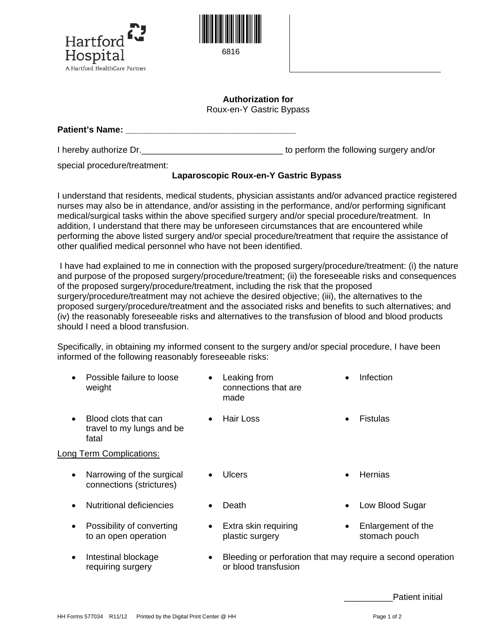



## **Authorization for**  Roux-en-Y Gastric Bypass

**Patient's Name:**  $\blacksquare$ 

I hereby authorize Dr.  $\blacksquare$ 

special procedure/treatment:

## **Laparoscopic Roux-en-Y Gastric Bypass**

I understand that residents, medical students, physician assistants and/or advanced practice registered nurses may also be in attendance, and/or assisting in the performance, and/or performing significant medical/surgical tasks within the above specified surgery and/or special procedure/treatment. In addition, I understand that there may be unforeseen circumstances that are encountered while performing the above listed surgery and/or special procedure/treatment that require the assistance of other qualified medical personnel who have not been identified.

I have had explained to me in connection with the proposed surgery/procedure/treatment: (i) the nature and purpose of the proposed surgery/procedure/treatment; (ii) the foreseeable risks and consequences of the proposed surgery/procedure/treatment, including the risk that the proposed surgery/procedure/treatment may not achieve the desired objective; (iii), the alternatives to the proposed surgery/procedure/treatment and the associated risks and benefits to such alternatives; and (iv) the reasonably foreseeable risks and alternatives to the transfusion of blood and blood products should I need a blood transfusion.

Specifically, in obtaining my informed consent to the surgery and/or special procedure, I have been informed of the following reasonably foreseeable risks:

|           | Possible failure to loose<br>weight                        | $\bullet$ | Leaking from<br>connections that are<br>made                                        |           | Infection                           |
|-----------|------------------------------------------------------------|-----------|-------------------------------------------------------------------------------------|-----------|-------------------------------------|
| $\bullet$ | Blood clots that can<br>travel to my lungs and be<br>fatal | $\bullet$ | <b>Hair Loss</b>                                                                    | $\bullet$ | Fistulas                            |
|           | Long Term Complications:                                   |           |                                                                                     |           |                                     |
| $\bullet$ | Narrowing of the surgical<br>connections (strictures)      | $\bullet$ | Ulcers                                                                              | $\bullet$ | Hernias                             |
|           | Nutritional deficiencies                                   | $\bullet$ | Death                                                                               |           | Low Blood Sugar                     |
| $\bullet$ | Possibility of converting<br>to an open operation          | $\bullet$ | Extra skin requiring<br>plastic surgery                                             | ٠         | Enlargement of the<br>stomach pouch |
| $\bullet$ | Intestinal blockage<br>requiring surgery                   | $\bullet$ | Bleeding or perforation that may require a second operation<br>or blood transfusion |           |                                     |

Patient initial